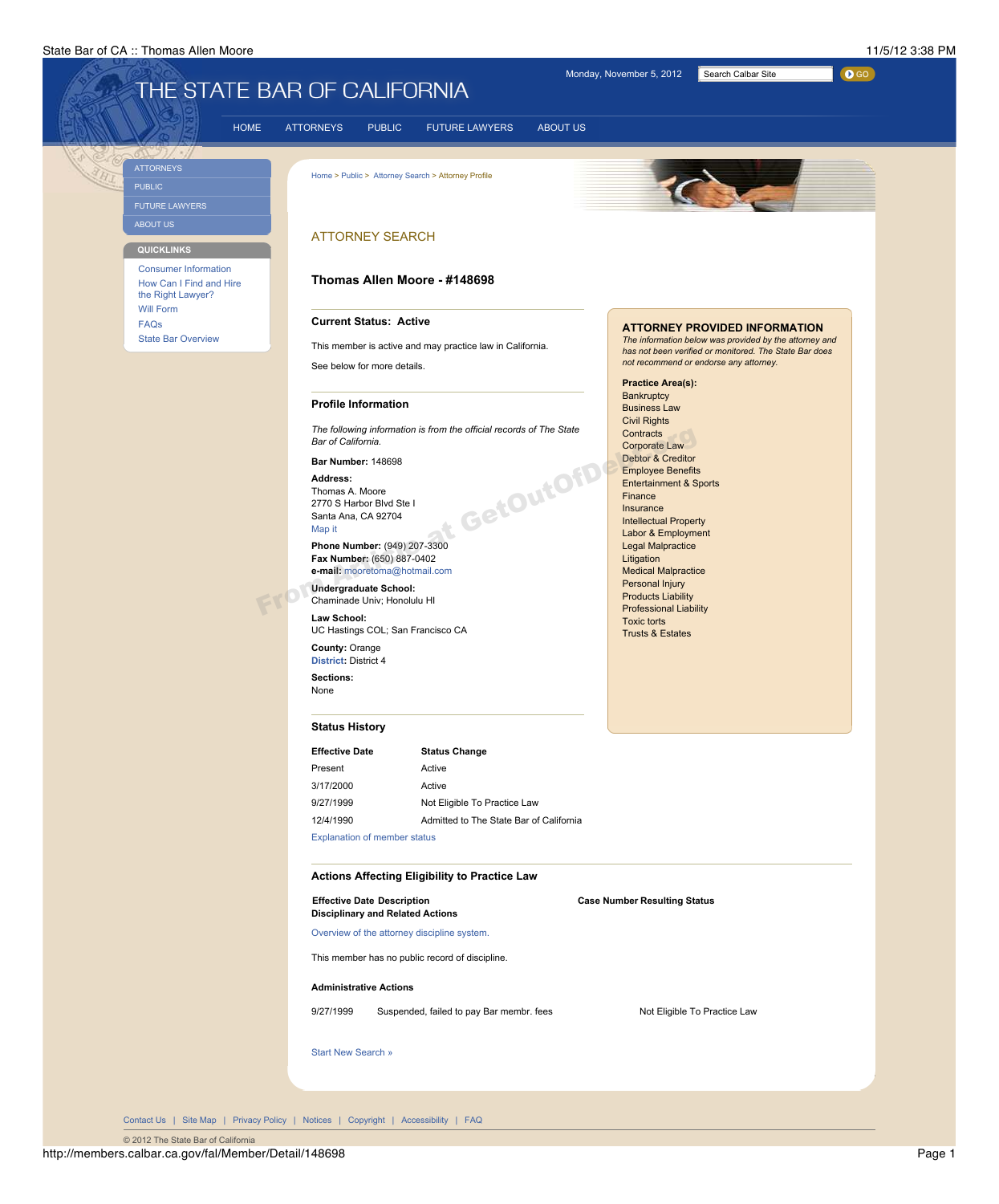## State Bar of CA :: Thomas Allen Moore 11/5/12 3:38 PM



**Effective Date Status Change**

| Present                                                                      | Active                                               |                                     |
|------------------------------------------------------------------------------|------------------------------------------------------|-------------------------------------|
| 3/17/2000                                                                    | Active                                               |                                     |
| 9/27/1999                                                                    | Not Eligible To Practice Law                         |                                     |
| 12/4/1990                                                                    | Admitted to The State Bar of California              |                                     |
|                                                                              | <b>Explanation of member status</b>                  |                                     |
|                                                                              | <b>Actions Affecting Eligibility to Practice Law</b> |                                     |
| <b>Effective Date Description</b><br><b>Disciplinary and Related Actions</b> |                                                      | <b>Case Number Resulting Status</b> |
|                                                                              | Overview of the attorney discipline system.          |                                     |
|                                                                              | This member has no public record of discipline.      |                                     |
| <b>Administrative Actions</b>                                                |                                                      |                                     |
| 9/27/1999                                                                    | Suspended, failed to pay Bar membr. fees             | Not Eligible To Practice Law        |
| <b>Start New Search »</b>                                                    |                                                      |                                     |
|                                                                              |                                                      |                                     |
|                                                                              |                                                      |                                     |
|                                                                              |                                                      |                                     |

© 2012 The State Bar of California

http://members.calbar.ca.gov/fal/Member/Detail/148698 Page 1

Contact Us | Site Map | Privacy Policy | Notices | Copyright | Accessibility | FAQ